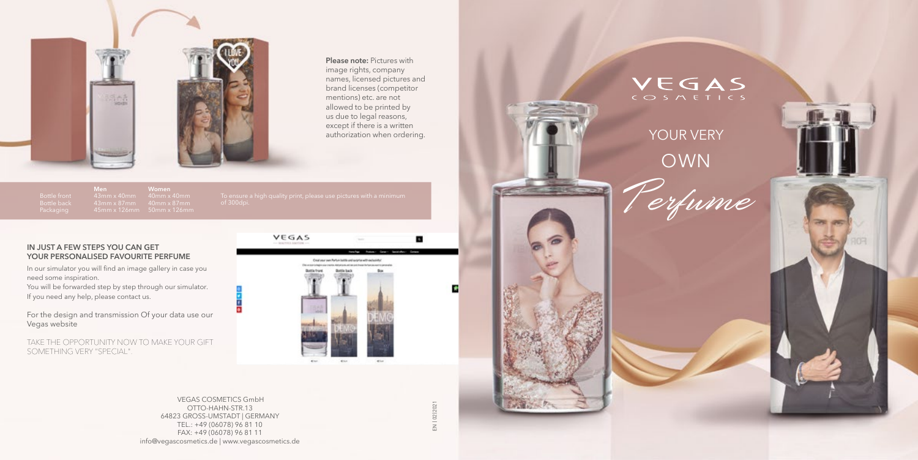#### **IN JUST A FEW STEPS YOU CAN GET YOUR PERSONALISED FAVOURITE PERFUME**

In our simulator you will find an image gallery in case you need some inspiration.

You will be forwarded step by step through our simulator. If you need any help, please contact us.



**Please note:** Pictures with image rights, company names, licensed pictures and brand licenses (competitor mentions) etc. are not allowed to be printed by us due to legal reasons, except if there is a written<br>authorization when ordering.

For the design and transmission Of your data use our Vegas website

TAKE THE OPPORTUNITY NOW TO MAKE YOUR GIFT SOMETHING VERY "SPECIAL".



## YOUR VERY OWN

EN | 02|2021 EN | 02|2021

п

# VEGAS

 VEGAS COSMETICS GmbH OTTO-HAHN-STR.13 64823 GROSS-UMSTADT | GERMANY TEL.: +49 (06078) 96 81 10 FAX: +49 (06078) 96 81 11 info@vegascosmetics.de | www.vegascosmetics.de







**Men**

**Women**